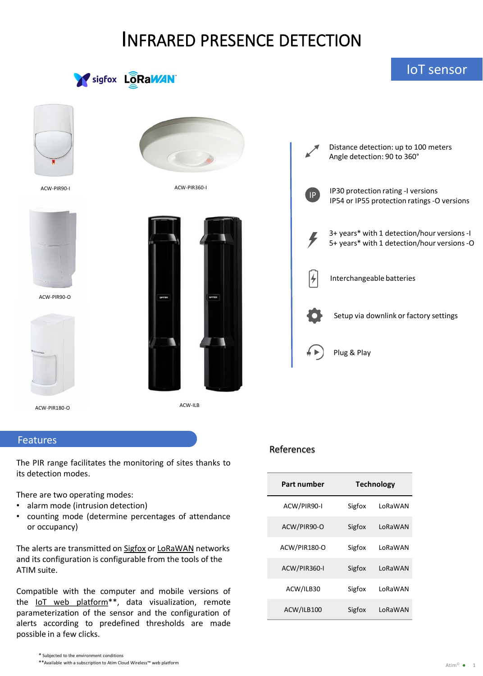## INFRARED PRESENCE DETECTION



## Features

The PIR range facilitates the monitoring of sites thanks to its detection modes.

There are two operating modes:

- alarm mode (intrusion detection)
- counting mode (determine percentages of attendance or occupancy)

The alerts are transmitted on [Sigfox](https://www.atim.com/en/sigfox/) or [LoRaWAN](https://www.atim.com/en/lorawan/) networks and its configuration is configurable from the tools of the ATIM suite.

Compatible with the computer and mobile versions of the IoT web [platform](https://www.atim.com/en/iot-web-portal/)<sup>\*\*</sup>, data visualization, remote parameterization of the sensor and the configuration of alerts according to predefined thresholds are made possible in a few clicks.

References

| Part number  | <b>Technology</b> |         |
|--------------|-------------------|---------|
| ACW/PIR90-I  | Sigfox            | LoRaWAN |
| ACW/PIR90-O  | Sigfox            | LoRaWAN |
| ACW/PIR180-O | Sigfox            | LoRaWAN |
| ACW/PIR360-I | Sigfox            | LoRaWAN |
| ACW/ILB30    | Sigfox            | LoRaWAN |
| ACW/ILB100   | Sigfox            | LoRaWAN |